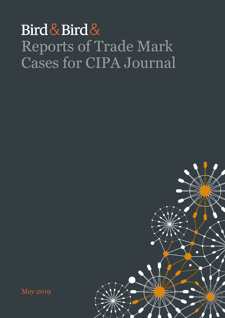## Bird & Bird & Reports of Trade Mark Cases for CIPA Journal



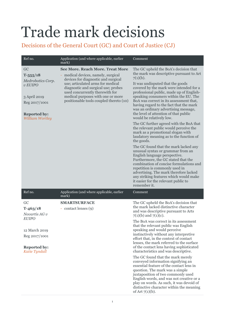## Trade mark decisions

## Decisions of the General Court (GC) and Court of Justice (CJ)

| Ref no.                                                                                                                         | Application (and where applicable, earlier<br>mark)                                                                                                                                                                                                                                                                | Comment                                                                                                                                                                                                                                                                                                                                                                                                                                                                                                                                                                                                                                                                                                                                                                                                                                           |
|---------------------------------------------------------------------------------------------------------------------------------|--------------------------------------------------------------------------------------------------------------------------------------------------------------------------------------------------------------------------------------------------------------------------------------------------------------------|---------------------------------------------------------------------------------------------------------------------------------------------------------------------------------------------------------------------------------------------------------------------------------------------------------------------------------------------------------------------------------------------------------------------------------------------------------------------------------------------------------------------------------------------------------------------------------------------------------------------------------------------------------------------------------------------------------------------------------------------------------------------------------------------------------------------------------------------------|
| GC<br>$T - 555/18$<br>Medrobotics Corp.<br>$v$ EUIPO<br>3 April 2019<br>Reg 2017/1001<br><b>Reported by:</b><br>William Wortley | <b>See More. Reach More. Treat More</b><br>medical devices, namely, surgical<br>devices for diagnostic and surgical<br>use; articulated arms for medical<br>diagnostic and surgical use; probes<br>used concurrently therewith for<br>medical purposes with one or more<br>positionable tools coupled thereto (10) | The GC upheld the BoA's decision that<br>the mark was descriptive pursuant to Art<br>$7(1)(b)$ .<br>It was undisputed that the goods<br>covered by the mark were intended for a<br>professional public, made up of English-<br>speaking consumers within the EU. The<br>BoA was correct in its assessment that,<br>having regard to the fact that the mark<br>was an ordinary advertising message,<br>the level of attention of that public<br>would be relatively low.<br>The GC further agreed with the BoA that<br>the relevant public would perceive the<br>mark as a promotional slogan with<br>laudatory meaning as to the function of                                                                                                                                                                                                      |
|                                                                                                                                 |                                                                                                                                                                                                                                                                                                                    | the goods.<br>The GC found that the mark lacked any<br>unusual syntax or grammar from an<br>English language perspective.<br>Furthermore, the GC stated that the<br>combination of concise formulations and<br>repetition is commonly used in<br>advertising. The mark therefore lacked<br>any striking features which would make<br>it easier for the relevant public to<br>remember it.                                                                                                                                                                                                                                                                                                                                                                                                                                                         |
| Ref no.                                                                                                                         | Application (and where applicable, earlier<br>mark)                                                                                                                                                                                                                                                                | Comment                                                                                                                                                                                                                                                                                                                                                                                                                                                                                                                                                                                                                                                                                                                                                                                                                                           |
| GC<br>$T-463/18$<br>Novartis AG v<br><b>EUIPO</b><br>12 March 2019<br>Reg 2017/1001<br><b>Reported by:</b><br>Katie Tyndall     | <b>SMARTSURFACE</b><br>- contact lenses (9)                                                                                                                                                                                                                                                                        | The GC upheld the BoA's decision that<br>the mark lacked distinctive character<br>and was descriptive pursuant to Arts<br>$7(1)(b)$ and $7(1)(c)$ .<br>The BoA was correct in its assessment<br>that the relevant public was English<br>speaking and would perceive<br>instinctively without any interpretive<br>effort that, in the context of contact<br>lenses, the mark referred to the surface<br>of the contact lens having sophisticated<br>characteristics and was descriptive.<br>The GC found that the mark merely<br>conveyed information signifying an<br>essential feature of the contact lens in<br>question. The mark was a simple<br>juxtaposition of two commonly used<br>English words, and was not creative or a<br>play on words. As such, it was devoid of<br>distinctive character within the meaning<br>of Art $7(1)(b)$ . |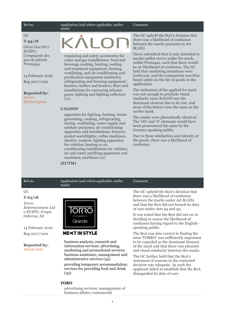#### Ref no. **Application** (and where applicable, earlier

#### GC

#### **T-34/18**

*Giove Gas Srl v EUIPO; Compagnie des gaz de pétrole Primagaz*

### 14 February 2019

Reg 2017/1001

#### **Reported by:** *Aaron Hetherington*



- regulating and safety accessories for water and gas installations; food and beverage cooking, heating, cooling and treatment equipment; heating, ventilating, and air conditioning and purification equipment (ambient); refrigerating and freezing equipment; burners, boilers and heaters; flues and installations for conveying exhaust gases; lighting and lighting reflectors (11)

#### **CALOON**

mark)

- apparatus for lighting, heating, steam generating, cooking, refrigerating, drying, ventilating, water supply and sanitary purposes; air conditioning apparatus and installations; freezers; pocket searchlights; coffee machines, electric; cookers; lighting apparatus for vehicles; heating or air conditioning installations for vehicles; air and water purifying apparatus and machines; sterilisers (11)

#### Comment

The GC upheld the BoA's decision that there was a likelihood of confusion between the marks pursuant to Art 8(1)(b).

Giove submitted that it only intended to market pellet stoves under the mark, unlike Primagaz, such that there would be no likelihood of confusion. The GC held that marketing intentions were irrelevant, and the comparison was thus based solely on the list of goods in the application.

The stylisation of the applied for mark was not enough to preclude visual similarity since KALON was the dominant element due to its size, and most of the letters were the same as the earlier mark.

The marks were phonetically identical. The 'OO' and 'O' elements would have been pronounced the same by the German speaking public.

Due to these similarities and identity of the goods, there was a likelihood of confusion.

#### **(EUTM)**

mark)

#### Ref no. **Application** (and where applicable, earlier

### GC

**T-63/18** *Torro Entertainment Ltd v EUIPO; Grupo Osborne, SA*

14 February 2019 Reg 2017/1001

#### **Reported by:** *Daniel Anti*



### **ME**<T IN STYLE

business analysis; research and information services; advertising, marketing and promotional services; business assistance, management and administrative services (35)

- providing temporary accommodation; services for providing food and drink (43)

#### **TORO**

advertising services; management of business affairs; commercial

#### The GC upheld the BoA's decision that there was a likelihood of confusion between the marks under Art 8(1)(b) and that the BoA did not breach its duty

of care under Arts 94 and 95.

Comment

It was noted that the BoA did not err in deciding to assess the likelihood of confusion having regard to the Englishspeaking public.

The BoA was also correct in finding the term 'TORRO' was sufficiently important to be regarded as the dominant element of the mark and that there was phonetic and visual similarity between the marks.

The GC further held that the BoA's statement of reasons in the contested decision was adequate. As such the applicant failed to establish that the BoA disregarded its duty of care.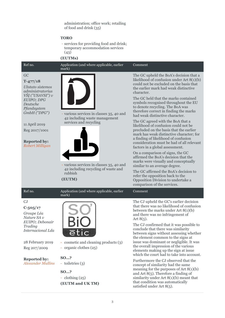administration; office work; retailing of food and drink (35)

#### **TORO**

- services for providing food and drink; temporary accommodation services  $(43)$ 

#### **(EUTMs)**

#### Ref no. Application (and where applicable, earlier

#### GC

#### **T-477/18**

*Užstato sistemos administratorius VŠĮ ("USAVSI") v EUIPO; DPG Deutsche Pfandsystem GmbH ("DPG")*

11 April 2019 Reg 2017/1001

#### **Reported by:**  *Robert Milligan*



- various services in classes 35, 40 and 42 including waste management services and recycling



- various services in classes 35, 40 and 42 including recycling of waste and rubbish

**(EUTM)**

mark)

The GC upheld the BoA's decision that a likelihood of confusion under Art 8(1)(b) could not be excluded on the basis that the earlier mark had weak distinctive character.

The GC held that the marks contained symbols recognised throughout the EU to denote recycling. The BoA was therefore correct in finding the marks had weak distinctive character.

The GC agreed with the BoA that a likelihood of confusion could not be precluded on the basis that the earlier mark has weak distinctive character; for a finding of likelihood of confusion consideration must be had of all relevant factors in a global assessment.

On a comparison of signs, the GC affirmed the BoA's decision that the marks were visually and conceptually similar to an average degree.

The GC affirmed the BoA's decision to refer the opposition back to the Opposition Division to undertake a comparison of the services.

Comment

Comment

The CJ upheld the GC's earlier decision that there was no likelihood of confusion between the marks under Art 8(1)(b) and there was no infringement of Art  $8(5)$ .

The CJ confirmed that it was possible to conclude that there was similarity between signs without assessing whether the element common to the signs at issue was dominant or negligible. It was the overall impression of the various elements making up the sign at issue which the court had to take into account.

Furthermore the CJ observed that the concept of similarity had the same meaning for the purposes of Art 8(1)(b) and Art 8(5). Therefore a finding of similarity under Art 8(1)(b) meant that that condition was automatically satisfied under Art 8(5).

## Ref no. **Application** (and where applicable, earlier

#### CJ

**C-505/17**

*Groupe Léa Nature SA v EUIPO; Debonair Trading Internacional Lda* 

28 February 2019 Reg 207/2009

#### **Reported by:**  *Alexander Mullins*



- cosmetic and cleaning products (3)
- organic clothes (25)

#### **SO…?**

- toiletries (3)

## **SO…?**

- clothing (25) **(EUTM and UK TM)**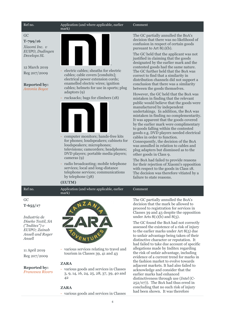#### GC

#### **T-799/16**

*Xiaomi Inc. v EUIPO, Dudingen Develops SL*

#### 12 March 2019

Reg 207/2009

## **Reported by:**

*Antonia Boyce*

#### Ref no. **Application** (and where applicable, earlier mark)



- electric cables; sheaths for electric cables; cable covers [conduits]; electrical power extension cords; enamelled electric wires; ignition cables; helmets for use in sports; plug adaptors (9)
- rucksacks; bags for climbers (18)



- computer monitors; hands-free kits for phones; loudspeakers; cabinets for loudspeakers; microphones; televisions; camcorders; headphones; DVD players; portable media players; cameras (9)
- radio broadcasting; mobile telephone services; local and long-distance telephone services; communications by telephone (38)

#### **(EUTM)**

Ref no. **Application** (and where applicable, earlier mark)

GC

**T-655/17**

*Industria de Diseño Textil, SA ("Inditex") v EUIPO; Zainab Ansell and Roger Ansell*

11 April 2019 Reg 207/2009

**Reported by:** *Francesca Rivers*



- various services relating to travel and tourism in Classes 39, 41 and 43

#### **ZARA**

- various goods and services in Classes 3, 9, 14, 16, 24, 25, 28, 37, 39, 40 and 42

#### **ZARA**

- various goods and services in Classes

#### Comment

The GC partially annulled the BoA's decision that there was no likelihood of confusion in respect of certain goods pursuant to Art  $8(1)(b)$ .

The GC held that the applicant was not justified in claiming that the goods designated by the earlier mark and the contested goods had the same nature. The GC further held that the BoA was correct to find that a similarity in distribution channels did not support a conclusion that there was a similarity between the goods themselves.

However, the GC held that the BoA was mistaken in finding that the relevant public would believe that the goods were manufactured by independent undertakings. In addition, the BoA was mistaken in finding no complementarity. It was apparent that the goods covered by the earlier mark were complimentary to goods falling within the contested goods e.g. DVD players needed electrical cables in order to function. Consequently, the decision of the BoA was annulled in relation to cables and plug adapters but dismissed as to the other goods in Class 9.

The BoA had failed to provide reasons for their rejection of Xiaomi's opposition with respect to the goods in Class 18. The decision was therefore vitiated by a failure to state reasons.

#### Comment

The GC partially annulled the BoA's decision that the mark be allowed to proceed to registration for services in Classes 39 and 43 despite the opposition under Arts  $8(1)(b)$  and  $8(5)$ .

The GC found the BoA had not correctly assessed the existence of a risk of injury to the earlier marks under Art 8(5) due to unfair advantage being taken of their distinctive character or reputation. It had failed to take due account of specific allegations made by Inditex regarding the risk of unfair advantage, including evidence of a current trend for marks in the fashion market to evolve towards adjacent markets. It had also failed to acknowledge and consider that the earlier marks had enhanced distinctiveness through use (*Intel* (C-252/07)). The BoA had thus erred in concluding that no such risk of injury had been shown. It was therefore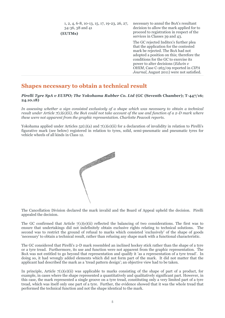| 1, 2, 4, 6-8, 10-13, 15, 17, 19-23, 26, 27,<br>34-36, 38 and 41<br>(EUTMs) | necessary to annul the BoA's resultant<br>decision to allow the mark applied for to<br>proceed to registration in respect of the<br>services in Classes 39 and 43.                                                                                                                                                                            |
|----------------------------------------------------------------------------|-----------------------------------------------------------------------------------------------------------------------------------------------------------------------------------------------------------------------------------------------------------------------------------------------------------------------------------------------|
|                                                                            | The GC rejected Inditex's further plea<br>that the application for the contested<br>mark be rejected. The BoA had not<br>adopted a position on this; therefore the<br>conditions for the GC to exercise its<br>power to alter decisions ( <i>Edwin v</i><br>OHIM, Case C-263/09 reported in CIPA<br>Journal, August 2011) were not satisfied. |

## **Shapes necessary to obtain a technical result**

#### *Pirelli Tyre SpA v EUIPO; The Yokohama Rubber Co. Ltd* **(GC (Seventh Chamber); T-447/16; 24.10.18)**

*In assessing whether a sign consisted exclusively of a shape which was necessary to obtain a technical result under Article 7(1)(e)(ii), the BoA could not take account of the use and function of a 2-D mark where these were not apparent from the graphic representation. Charlotte Peacock reports.*

Yokohama applied under Articles  $52(1)(a)$  and  $7(1)(e)(ii)$  for a declaration of invalidity in relation to Pirelli's figurative mark (see below) registered in relation to tyres, solid, semi-pneumatic and pneumatic tyres for vehicle wheels of all kinds in Class 12.



The Cancellation Division declared the mark invalid and the Board of Appeal upheld the decision. Pirelli appealed the decision.

The GC confirmed that Article  $7(1)(e)(ii)$  reflected the balancing of two considerations. The first was to ensure that undertakings did not indefinitely obtain exclusive rights relating to technical solutions. The second was to restrict the ground of refusal to marks which consisted 'exclusively' of the shape of goods 'necessary' to obtain a technical result, rather than refusing any shape mark with a functional characteristic.

The GC considered that Pirelli's 2-D mark resembled an inclined hockey stick rather than the shape of a tyre or a tyre tread. Furthermore, its use and function were not apparent from the graphic representation. The BoA was not entitled to go beyond that representation and qualify it 'as a representation of a tyre tread'. In doing so, it had wrongly added elements which did not form part of the mark. It did not matter that the applicant had described the mark as a 'tread pattern design'; an objective view had to be taken.

In principle, Article 7(1)(e)(ii) was applicable to marks consisting of the shape of part of a product, for example, in cases where the shape represented a quantitatively and qualitatively significant part. However, in this case, the mark represented a single groove on a tyre tread, constituting only a very limited part of a tyre tread, which was itself only one part of a tyre. Further, the evidence showed that it was the whole tread that performed the technical function and not the shape identical to the mark.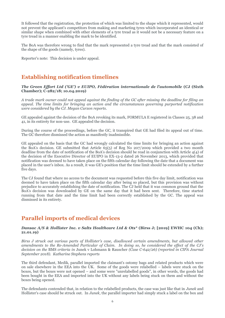It followed that the registration, the protection of which was limited to the shape which it represented, would not prevent the applicant's competitors from making and marketing tyres which incorporated an identical or similar shape when combined with other elements of a tyre tread as it would not be a necessary feature on a tyre tread in a manner enabling the mark to be identified.

The BoA was therefore wrong to find that the mark represented a tyre tread and that the mark consisted of the shape of the goods (namely, tyres).

Reporter's note: This decision is under appeal.

## **Establishing notification timelines**

#### *The Green Effort Ltd ('GE') v EUIPO, Fédération internationale de l'automobile* **(CJ (Sixth Chamber); C-282/18; 10.04.2019)**

*A trade mark owner could not appeal against the finding of the GC after missing the deadline for filing an appeal. The time limits for bringing an action and the circumstances governing purported notification were considered by the CJ. Megan Curzon reports.* 

GE appealed against the decision of the BoA revoking its mark, FORMULA E registered in Classes 25, 38 and 41, in its entirety for non-use. GE appealed the decision.

During the course of the proceedings, before the GC, it transpired that GE had filed its appeal out of time. The GC therefore dismissed the action as manifestly inadmissible.

GE appealed on the basis that the GC had wrongly calculated the time limits for bringing an action against the BoA's decision. GE submitted that Article 65(5) of Reg No 207/2009 which provided a two month deadline from the date of notification of the BoA's decision should be read in conjunction with Article 4(4) of the decision of the Executive Director of EUIPO in EX-13-2 dated 26 November 2013, which provided that notification was deemed to have taken place on the fifth calendar day following the date that a document was placed in the user's inbox. As a result, it was GE's position that the time limit should be extended by a further five days.

The CJ found that where no access to the document was requested before this five day limit, notification was deemed to have taken place on the fifth calendar day after being so placed, but this provision was without prejudice to accurately establishing the date of notification. The CJ held that it was common ground that the BoA's decision was downloaded by GE on the same day that it had been sent. Therefore, time started running from that date and the time limit had been correctly established by the GC. The appeal was dismissed in its entirety.

## **Parallel imports of medical devices**

#### *Dansac A/S & Hollister Inc. v Salts Healthcare Ltd & Ots\** (Birss J; [2019] EWHC 104 (Ch); **21.01.19)**

*Birss J struck out various parts of Hollister's case, disallowed certain amendments, but allowed other amendments to the Re-Amended Particular of Claim. In doing so, he considered the effect of the CJ's decision on the* BMS *criteria in* Junek v Lohmann & Rauscher *(Case C-642/26) (reported in CIPA Journal September 2018). Katharine Stephens reports*

The third defendant, Medik, parallel imported the claimant's ostomy bags and related products which were on sale elsewhere in the EEA into the UK. Some of the goods were relabelled – labels were stuck on the boxes, but the boxes were not opened – and some were "unrelabelled goods", in other words, the goods had been bought in the EEA and imported into the UK without any labels being stuck on them and without the boxes being opened.

The defendants contended that, in relation to the relabelled products, the case was just like that in *Junek* and Hollister's case should be struck out. In *Junek*, the parallel importer had simply stuck a label on the box and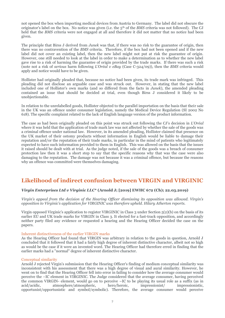not opened the box when importing medical devices from Austria to Germany. The label did not obscure the originator's label on the box. No notice was given (i.e. the 5<sup>th</sup> of the *BMS* criteria was not followed). The CJ held that the *BMS* criteria were not engaged at all and therefore it did not matter that no notice had been given.

The principle that Birss J derived from *Junek* was that, if there was no risk to the guarantee of origin, then there was no contravention of the *BMS* criteria. Therefore, if the box had not been opened and if the new label did not cover an existing label, then the new label might not put at risk the guarantee of origin. However, one still needed to look at the label in order to make a determination as to whether the new label gave rise to a risk of harming the guarantee of origin provided by the trade marks. If there was such a risk (note not a risk of *serious* harm following *L'Oréal v eBay* (Case C-324/09)), then the *BMS* criteria would apply and notice would have to be given.

Hollister had originally pleaded that, because no notice had been given, its trade mark was infringed. This pleading did not disclose an arguable case and was struck out. However, in stating that the new label included one of Hollister's own marks (and so differed from the facts in *Junek*), the amended pleading contained an issue that should be decided at trial, even though Birss J considered it likely to be unobjectionable.

In relation to the unrelabelled goods, Hollister objected to the parallel importation on the basis that their sale in the UK was an offence under consumer legislation, namely the Medical Device Regulation (SI 2002 No 618). The specific complaint related to the lack of English language version of the product information.

The case as had been originally pleaded on this point was struck out following the CJ's decision in *L'Oréal*  where it was held that the application of trade mark law was not affected by whether the sale of the goods was a criminal offence under national law. However, in its amended pleading, Hollister claimed that presence on the UK market of their ostomy products without information in English would be liable to damage their reputation and/or the reputation of their trade marks, in particular in the mind of patients who legitimately expected to have such information provided to them in English. This was allowed on the basis that the issues it raised should be dealt with at trial. As the judge noted, if the sale of the goods was a breach of consumer protection law then it was a short step to say that the specific reasons why that was the case were also damaging to the reputation. The damage was not because it was a criminal offence, but because the reasons why an offence was committed were themselves damaging.

## **Likelihood of indirect confusion between VIRGIN and VIRGINIC**

#### *Virgin Enterprises Ltd v Virginic LLC***\* (Arnold J; [2019] EWHC 672 (Ch); 22.03.2019)**

*Virgin's appeal from the decision of the Hearing Officer dismissing its opposition was allowed. Virgin's opposition to Virginic's application for VIRGINIC was therefore upheld. Hilary Atherton reports.*

Virgin opposed Virginic's application to register VIRGINIC in Class 3 under Section 5(2)(b) on the basis of its earlier EU and UK trade marks for VIRGIN in Class 3. It elected for a fast-track opposition, and accordingly neither party filed any evidence or requested a hearing and the Hearing Officer decided the case on the papers.

#### Inherent distinctiveness of the earlier VIRGIN marks

As the Hearing Officer had found that VIRGIN was arbitrary in relation to the goods in question, Arnold J concluded that it followed that it had a fairly high degree of inherent distinctive character, albeit not so high as would be the case if it were an invented word. The Hearing Officer had therefore erred in finding that the earlier marks had a "normal" degree of inherent distinctive character.

#### Conceptual similarity

Arnold J rejected Virgin's submission that the Hearing Officer's finding of medium conceptual similarity was inconsistent with his assessment that there was a high degree of visual and aural similarity. However, he went on to find that the Hearing Officer fell into error in failing to consider how the average consumer would perceive the –IC element in VIRGINIC. The Judge considered that the average consumer, having perceived the common VIRGIN- element, would go on to perceive –IC to be playing its usual role as a suffix (as in acid/acidic, atmosphere/atmospheric, hero/heroic, impressionist/ impressionistic, opportunist/opportunistic and symbol/symbolic). Therefore, the average consumer would perceive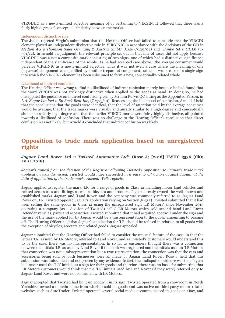VIRGINIC as a newly-minted adjective meaning of or pertaining to VIRGIN. It followed that there was a fairly high degree of conceptual similarity between the marks.

#### Independent distinctive role

The Judge rejected Virgin's submission that the Hearing Officer had failed to conclude that the VIRGIN element played an independent distinctive role in VIRGINIC in accordance with the decisions of the CJ) in *Medion AG v Thomson Sales Germany & Austria GmbH* (Case C-120/04) and *Bimbo SA v OHIM* (C-591/12). In Arnold J's judgment, the relevant principle set out in that line of cases did not apply because VIRGINIC was a not a composite mark consisting of two signs, one of which had a distinctive significance independent of the significance of the whole. As he had accepted (see above), the average consumer would perceive VIRGINIC as a newly-minted adjective. Thus it was not even a case where the meaning of one (separate) component was qualified by another (separate) component; rather it was a case of a single sign into which the VIRGIN- element has been subsumed to form a new, conceptually-related whole.

#### Likelihood of indirect confusion

The Hearing Officer was wrong to find no likelihood of indirect confusion merely because he had found that the word VIRGIN was not strikingly distinctive when applied to the goods at hand. In doing so, he had misapplied the guidance on indirect confusion given by Mr Iain Purvis QC sitting as the Appointed Person, in *L.A. Sugar Limited v By Back Beat Inc*, (O/375/10). Reassessing the likelihood of confusion, Arnold J held that the conclusions that the goods were identical, that the level of attention paid by the average consumer would be average, that the trade marks were visually and aurally similar to a high degree and conceptually similar to a fairly high degree and that the earlier VIRGIN marks were fairly highly distinctive, all pointed towards a likelihood of confusion. There was no challenge to the Hearing Officer's conclusion that direct confusion was not likely, but Arnold J concluded that indirect confusion was likely.

## **Opposition to trade mark application based on unregistered rights**

#### *Jaguar Land Rover Ltd v Twisted Automotive Ltd\** **(Rose J; [2018] EWHC 3536 (Ch); 20.12.2018)**

*Jaguar's appeal from the decision of the Registrar allowing Twisted's opposition to Jaguar's trade mark application was dismissed. Twisted would have succeeded in a passing off action against Jaguar at the date of application of the trade mark. Adeena Wells reports.*

Jaguar applied to register the mark 'LR' for a range of goods in Class 12 including motor land vehicles and related accessories and fittings as well as bicycles and scooters. Jaguar already owned the well-known and established marks 'Jaguar' and 'Land Rover' and the company was commonly referred to as Jaguar Land Rover or JLR. Twisted opposed Jaguar's application relying on Section 5(4)(a). Twisted submitted that it had been selling the same goods in Class 12 using the unregistered sign 'LR Motors' since November 2015 operating a company (as a division of Twisted) called LR Motors which sold second hand Land Rover Defender vehicles, parts and accessories. Twisted submitted that it had acquired goodwill under the sign and the use of the mark applied for by Jaguar would be a misrepresentation to the public amounting to passing off. The Hearing Officer held that Jaguar's application for 'LR' should be refused in relation to all goods with the exception of bicycles, scooters and related goods. Jaguar appealed.

Jaguar submitted that the Hearing Officer had failed to consider the unusual feature of the case, in that the letters 'LR' as used by LR Motors, referred to Land Rover, and as Twisted's customers would understand this to be the case, there was no misrepresentation. In so far as customers thought there was a connection between the initials 'LR' as used by Land Rover if the mark was registered and the initials used in 'LR Motors' that connection was not a misrepresentation but a true representation; the connection was that the cars and accessories being sold by both businesses were all made by Jaguar Land Rover. Rose J held that this submission was unfounded and not proven by any evidence. In fact, the undisputed evidence was that Jaguar had never used the 'LR' initials as a sign for their goods and therefore there was no basis for submitting that LR Motors customers would think that the 'LR' initials used by Land Rover (if they were) referred only to Jaguar Land Rover and were not connected with LR Motors.

Jaguar accepted that Twisted had built up goodwill in its sign. Twisted operated from a showroom in North Yorkshire, owned a domain name from which it sold its goods and was active on third party motor-related websites such as AutoTrader. Twisted operated several social media accounts, placed its goods on eBay, and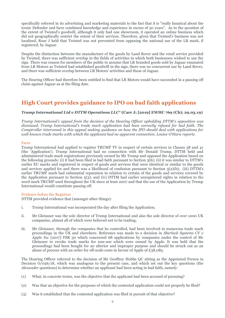specifically referred in its advertising and marketing materials to the fact that it is "really fanatical about the iconic Defender and have combined knowledge and experience in excess of 50 years". As to the question of the extent of Twisted's goodwill, although it only had one showroom, it operated an online business which did not geographically restrict the extent of their services. Therefore, given that Twisted's business was not localised, Rose J held that Twisted was not prevented from opposing the national use of the LR mark, if registered, by Jaguar.

Despite the distinction between the manufacture of the goods by Land Rover and the retail service provided by Twisted, there was sufficient overlap in the fields of activities in which both businesses wished to use the sign. There was reason for members of the public to assume that LR branded goods sold by Jaguar emanated from LR Motors as Twisted had established goodwill in the sign, there was no concurrent use by Land Rover, and there was sufficient overlap between LR Motors' activities and those of Jaguar.

The Hearing Officer had therefore been entitled to find that LR Motors would have succeeded in a passing off claim against Jaguar as at the filing date.

## **High Court provides guidance to IPO on bad faith applications**

#### *Trump International Ltd v DTTM Operations LLC\** **(Carr J; [2019] EWHC 769 (Ch); 29.03.19)**

*Trump International's appeal from the decision of the Hearing Officer upholding DTTM's opposition was dismissed. Trump International's trade mark application had been correctly refused for bad faith. The Comptroller intervened in this appeal seeking guidance on how the IPO should deal with applications for well-known trade marks with which the applicant had no apparent connection. Louise O'Hara reports.*

#### Facts

Trump International had applied to register TRUMP TV in respect of certain services in Classes 38 and 41 (the 'Application'). Trump International had no connection with Mr Donald Trump. DTTM held and administered trade mark registrations previously owned by Mr Trump and opposed the Application based on the following grounds: (i) it had been filed in bad faith pursuant to Section 3(6); (ii) it was similar to DTTM's earlier EU marks and registered in respect of goods and services that were identical or similar to the goods and services applied for and there was a likelihood of confusion pursuant to Section 5(2)(b); (iii) DTTM's earlier TRUMP mark had substantial reputation in relation to certain of the goods and services covered by the Application pursuant to Section 5(3); and (iv) DTTM had earlier unregistered rights in relation to the word mark TRUMP used throughout the UK since at least 2007 and that the use of the Application by Trump International would constitute passing off.

#### Evidence before the Registrar

DTTM provided evidence that (amongst other things):

- i. Trump International was incorporated the day after filing the Application;
- ii. Mr Gleissner was the sole director of Trump International and also the sole director of over 1000 UK companies, almost all of which were believed not to be trading;
- iii. Mr Gleissner, through the companies that he controlled, had been involved in numerous trade mark proceedings in the UK and elsewhere. Reference was made to a decision in *Sherlock Systems CV v Apple Inc* [2017] FSR 30 which concerned 68 applications by companies under the control of Mr Gleissner to revoke trade marks for non-use which were owned by Apple. It was held that the proceedings had been bought for an ulterior and improper purpose and should be struck out as an abuse of process with an order for off-scale costs in favour of Apple of £38,085.

The Hearing Officer referred to the decision of Mr Geoffrey Hobbs QC sitting as the Appointed Person in Decision O/036/18, which was analogous to the present case, and which set out the key questions (the *Alexander* questions) to determine whether an applicant had been acting in bad faith, namely:

- (1) What, in concrete terms, was the objective that the applicant had been accused of pursuing?
- (2) Was that an objective for the purposes of which the contested application could not properly be filed?
- (3) Was it established that the contested application was filed in pursuit of that objective?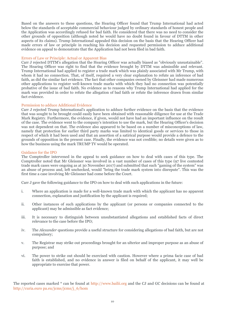Based on the answers to these questions, the Hearing Officer found that Trump International had acted below the standards of acceptable commercial behaviour judged by ordinary standards of honest people and the Application was accordingly refused for bad faith. He considered that there was no need to consider the other grounds of opposition (although noted he would have no doubt found in favour of DTTM in other aspects of its claims). Trump International appealed this decision on the basis that the Hearing Officer had made errors of law or principle in reaching his decision and requested permission to adduce additional evidence on appeal to demonstrate that the Application had not been filed in bad faith.

#### Errors of Law or Principle: Actual or Apparent Bias

Carr J rejected DTTM's allegation that the Hearing Officer was actually biased as "obviously unsustainable". The Hearing Officer was right to find that the evidence brought by DTTM was admissible and relevant. Trump International had applied to register a trade mark which was plainly associated with Mr Trump, with whom it had no connection. That, of itself, required a very clear explanation to refute an inference of bad faith, as did the similar fact evidence. The fact that other companies owned by Gleissner had made numerous other applications to register well-known trade marks with which they had no connection was potentially probative of the issue of bad faith. No evidence as to reasons why Trump International had applied for the mark was provided in order to refute the allegation of bad faith or refute the inference drawn from similar fact evidence.

#### Permission to adduce Additional Evidence

Carr J rejected Trump International's application to adduce further evidence on the basis that the evidence that was sought to be brought could easily have been obtained with reasonable diligence for use at the Trade Mark Registry. Furthermore, the evidence, if given, would not have had an important influence on the result of the case. The evidence went to the company's intention to use the mark, but the Hearing Officer's decision was not dependent on that. The evidence also appeared to be based on a number of misconceptions of law, namely that protection for earlier third party marks was limited to identical goods or services to those in respect of which it had been used and that an assertion of a satirical purpose would provide a defence to the grounds of opposition in the present case. Finally, the evidence was not credible; no details were given as to how the business using the mark TRUMP TV would be operated.

#### Guidance for the IPO

The Comptroller intervened in the appeal to seek guidance on how to deal with cases of this type. The Comptroller noted that Mr Gleissner was involved in a vast number of cases of this type (97 live contested trade mark cases were ongoing as at 30 November 2017) and submitted that such "gaming of the system" was an abuse of process and, left unchecked, would "bring the trade mark system into disrepute". This was the first time a case involving Mr Gleissner had come before the Court.

Carr J gave the following guidance to the IPO on how to deal with such applications in the future:

- i. Where an application is made for a well-known trade mark with which the applicant has no apparent connection, explanation and justification by the applicant is required;
- ii. Other instances of such applications by the applicant (or persons or companies connected to the applicant) may be admissible as fact evidence;
- iii. It is necessary to distinguish between unsubstantiated allegations and established facts of direct relevance to the case before the IPO;
- iv. The *Alexander* questions provide a useful structure for considering allegations of bad faith, but are not compulsory;
- v. The Registrar may strike out proceedings brought for an ulterior and improper purpose as an abuse of purpose; and
- vi. The power to strike out should be exercised with caution. However where a prima facie case of bad faith is established, and no evidence in answer is filed on behalf of the applicant, it may well be appropriate to exercise that power.

The reported cases marked \* can be found at http://www.bailii.org and the CJ and GC decisions can be found at http://curia.euro pa.eu/jcms/jcms/j\_6/hom